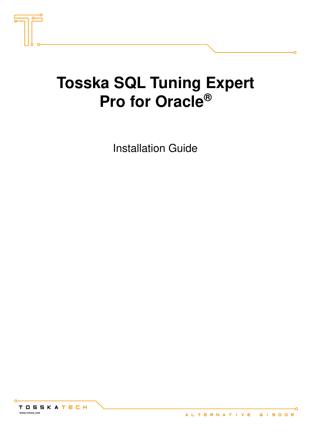

# **Tosska SQL Tuning Expert Pro for Oracle®**

Installation Guide



ö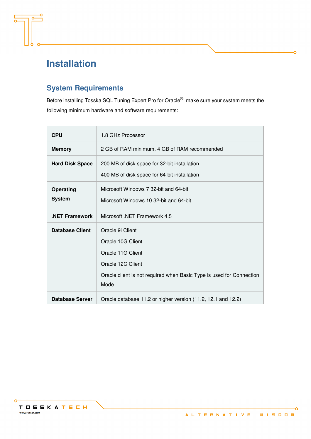

# **Installation**

### **System Requirements**

Before installing Tosska SQL Tuning Expert Pro for Oracle<sup>®</sup>, make sure your system meets the following minimum hardware and software requirements:

| <b>CPU</b>             | 1.8 GHz Processor                                                            |
|------------------------|------------------------------------------------------------------------------|
| <b>Memory</b>          | 2 GB of RAM minimum, 4 GB of RAM recommended                                 |
| <b>Hard Disk Space</b> | 200 MB of disk space for 32-bit installation                                 |
|                        | 400 MB of disk space for 64-bit installation                                 |
| Operating              | Microsoft Windows 7 32-bit and 64-bit                                        |
| <b>System</b>          | Microsoft Windows 10 32-bit and 64-bit                                       |
| <b>NET Framework</b>   | Microsoft, NET Framework 4.5                                                 |
| <b>Database Client</b> | Oracle 9i Client                                                             |
|                        | Oracle 10G Client                                                            |
|                        | Oracle 11G Client                                                            |
|                        | Oracle 12C Client                                                            |
|                        | Oracle client is not required when Basic Type is used for Connection<br>Mode |
|                        |                                                                              |
| <b>Database Server</b> | Oracle database 11.2 or higher version (11.2, 12.1 and 12.2)                 |



ö

ō